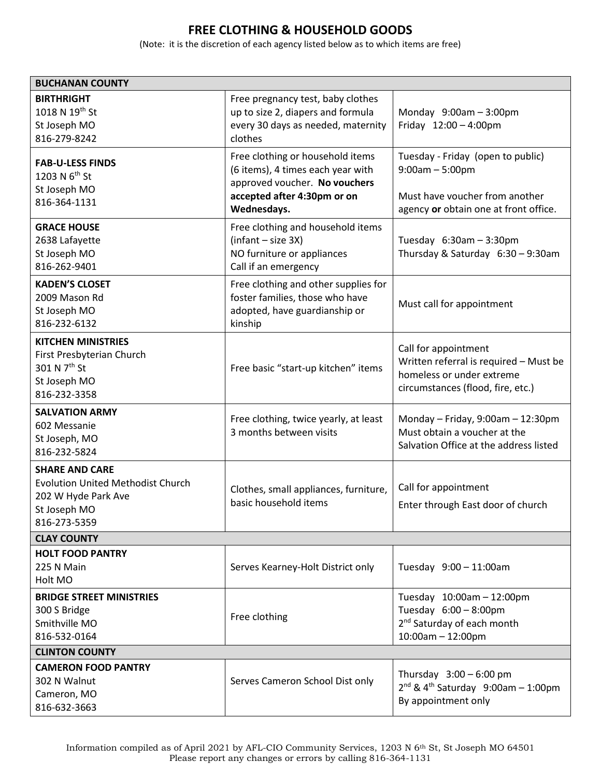## **FREE CLOTHING & HOUSEHOLD GOODS**

(Note: it is the discretion of each agency listed below as to which items are free)

| <b>BUCHANAN COUNTY</b>                                                                                                   |                                                                                                                                                      |                                                                                                                                   |  |
|--------------------------------------------------------------------------------------------------------------------------|------------------------------------------------------------------------------------------------------------------------------------------------------|-----------------------------------------------------------------------------------------------------------------------------------|--|
| <b>BIRTHRIGHT</b><br>1018 N 19th St<br>St Joseph MO<br>816-279-8242                                                      | Free pregnancy test, baby clothes<br>up to size 2, diapers and formula<br>every 30 days as needed, maternity<br>clothes                              | Monday $9:00am - 3:00pm$<br>Friday 12:00 - 4:00pm                                                                                 |  |
| <b>FAB-U-LESS FINDS</b><br>1203 N 6 <sup>th</sup> St<br>St Joseph MO<br>816-364-1131                                     | Free clothing or household items<br>(6 items), 4 times each year with<br>approved voucher. No vouchers<br>accepted after 4:30pm or on<br>Wednesdays. | Tuesday - Friday (open to public)<br>$9:00am - 5:00pm$<br>Must have voucher from another<br>agency or obtain one at front office. |  |
| <b>GRACE HOUSE</b><br>2638 Lafayette<br>St Joseph MO<br>816-262-9401                                                     | Free clothing and household items<br>$(infant - size 3X)$<br>NO furniture or appliances<br>Call if an emergency                                      | Tuesday $6:30am - 3:30pm$<br>Thursday & Saturday 6:30 - 9:30am                                                                    |  |
| <b>KADEN'S CLOSET</b><br>2009 Mason Rd<br>St Joseph MO<br>816-232-6132                                                   | Free clothing and other supplies for<br>foster families, those who have<br>adopted, have guardianship or<br>kinship                                  | Must call for appointment                                                                                                         |  |
| <b>KITCHEN MINISTRIES</b><br>First Presbyterian Church<br>301 N 7 <sup>th</sup> St<br>St Joseph MO<br>816-232-3358       | Free basic "start-up kitchen" items                                                                                                                  | Call for appointment<br>Written referral is required - Must be<br>homeless or under extreme<br>circumstances (flood, fire, etc.)  |  |
| <b>SALVATION ARMY</b><br>602 Messanie<br>St Joseph, MO<br>816-232-5824                                                   | Free clothing, twice yearly, at least<br>3 months between visits                                                                                     | Monday - Friday, $9:00$ am - 12:30pm<br>Must obtain a voucher at the<br>Salvation Office at the address listed                    |  |
| <b>SHARE AND CARE</b><br><b>Evolution United Methodist Church</b><br>202 W Hyde Park Ave<br>St Joseph MO<br>816-273-5359 | Clothes, small appliances, furniture,<br>basic household items                                                                                       | Call for appointment<br>Enter through East door of church                                                                         |  |
| <b>CLAY COUNTY</b>                                                                                                       |                                                                                                                                                      |                                                                                                                                   |  |
| <b>HOLT FOOD PANTRY</b><br>225 N Main<br>Holt MO                                                                         | Serves Kearney-Holt District only                                                                                                                    | Tuesday 9:00 - 11:00am                                                                                                            |  |
| <b>BRIDGE STREET MINISTRIES</b><br>300 S Bridge<br>Smithville MO<br>816-532-0164                                         | Free clothing                                                                                                                                        | Tuesday 10:00am - 12:00pm<br>Tuesday 6:00 - 8:00pm<br>2 <sup>nd</sup> Saturday of each month<br>$10:00$ am $- 12:00$ pm           |  |
| <b>CLINTON COUNTY</b>                                                                                                    |                                                                                                                                                      |                                                                                                                                   |  |
| <b>CAMERON FOOD PANTRY</b><br>302 N Walnut<br>Cameron, MO<br>816-632-3663                                                | Serves Cameron School Dist only                                                                                                                      | Thursday $3:00 - 6:00$ pm<br>$2^{nd}$ & 4 <sup>th</sup> Saturday 9:00am - 1:00pm<br>By appointment only                           |  |